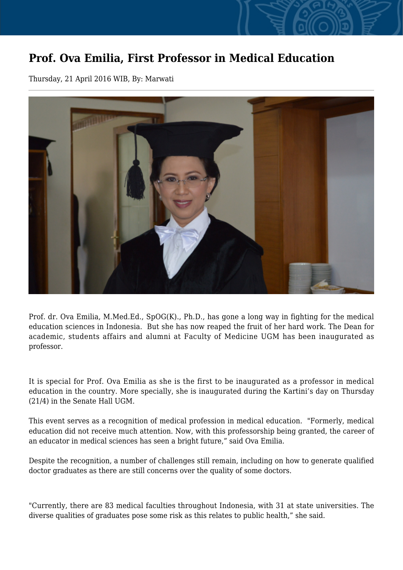## **Prof. Ova Emilia, First Professor in Medical Education**

Thursday, 21 April 2016 WIB, By: Marwati



Prof. dr. Ova Emilia, M.Med.Ed., SpOG(K)., Ph.D., has gone a long way in fighting for the medical education sciences in Indonesia. But she has now reaped the fruit of her hard work. The Dean for academic, students affairs and alumni at Faculty of Medicine UGM has been inaugurated as professor.

It is special for Prof. Ova Emilia as she is the first to be inaugurated as a professor in medical education in the country. More specially, she is inaugurated during the Kartini's day on Thursday (21/4) in the Senate Hall UGM.

This event serves as a recognition of medical profession in medical education. "Formerly, medical education did not receive much attention. Now, with this professorship being granted, the career of an educator in medical sciences has seen a bright future," said Ova Emilia.

Despite the recognition, a number of challenges still remain, including on how to generate qualified doctor graduates as there are still concerns over the quality of some doctors.

"Currently, there are 83 medical faculties throughout Indonesia, with 31 at state universities. The diverse qualities of graduates pose some risk as this relates to public health," she said.